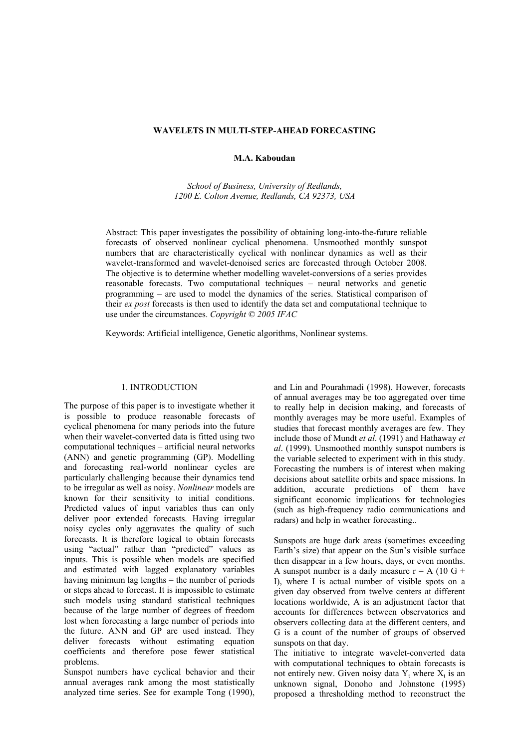## **WAVELETS IN MULTI-STEP-AHEAD FORECASTING**

**M.A. Kaboudan** 

*School of Business, University of Redlands, 1200 E. Colton Avenue, Redlands, CA 92373, USA*

Abstract: This paper investigates the possibility of obtaining long-into-the-future reliable forecasts of observed nonlinear cyclical phenomena. Unsmoothed monthly sunspot numbers that are characteristically cyclical with nonlinear dynamics as well as their wavelet-transformed and wavelet-denoised series are forecasted through October 2008. The objective is to determine whether modelling wavelet-conversions of a series provides reasonable forecasts. Two computational techniques – neural networks and genetic programming – are used to model the dynamics of the series. Statistical comparison of their *ex post* forecasts is then used to identify the data set and computational technique to use under the circumstances. *Copyright © 2005 IFAC*

Keywords: Artificial intelligence, Genetic algorithms, Nonlinear systems.

### 1. INTRODUCTION

The purpose of this paper is to investigate whether it is possible to produce reasonable forecasts of cyclical phenomena for many periods into the future when their wavelet-converted data is fitted using two computational techniques – artificial neural networks (ANN) and genetic programming (GP). Modelling and forecasting real-world nonlinear cycles are particularly challenging because their dynamics tend to be irregular as well as noisy. *Nonlinear* models are known for their sensitivity to initial conditions. Predicted values of input variables thus can only deliver poor extended forecasts. Having irregular noisy cycles only aggravates the quality of such forecasts. It is therefore logical to obtain forecasts using "actual" rather than "predicted" values as inputs. This is possible when models are specified and estimated with lagged explanatory variables having minimum lag lengths = the number of periods or steps ahead to forecast. It is impossible to estimate such models using standard statistical techniques because of the large number of degrees of freedom lost when forecasting a large number of periods into the future. ANN and GP are used instead. They deliver forecasts without estimating equation coefficients and therefore pose fewer statistical problems.

Sunspot numbers have cyclical behavior and their annual averages rank among the most statistically analyzed time series. See for example Tong (1990), and Lin and Pourahmadi (1998). However, forecasts of annual averages may be too aggregated over time to really help in decision making, and forecasts of monthly averages may be more useful. Examples of studies that forecast monthly averages are few. They include those of Mundt *et al*. (1991) and Hathaway *et al*. (1999). Unsmoothed monthly sunspot numbers is the variable selected to experiment with in this study. Forecasting the numbers is of interest when making decisions about satellite orbits and space missions. In addition, accurate predictions of them have significant economic implications for technologies (such as high-frequency radio communications and radars) and help in weather forecasting..

Sunspots are huge dark areas (sometimes exceeding Earth's size) that appear on the Sun's visible surface then disappear in a few hours, days, or even months. A sunspot number is a daily measure  $r = A (10 \text{ G} +$ I), where I is actual number of visible spots on a given day observed from twelve centers at different locations worldwide, A is an adjustment factor that accounts for differences between observatories and observers collecting data at the different centers, and G is a count of the number of groups of observed sunspots on that day.

The initiative to integrate wavelet-converted data with computational techniques to obtain forecasts is not entirely new. Given noisy data  $Y_t$  where  $X_t$  is an unknown signal, Donoho and Johnstone (1995) proposed a thresholding method to reconstruct the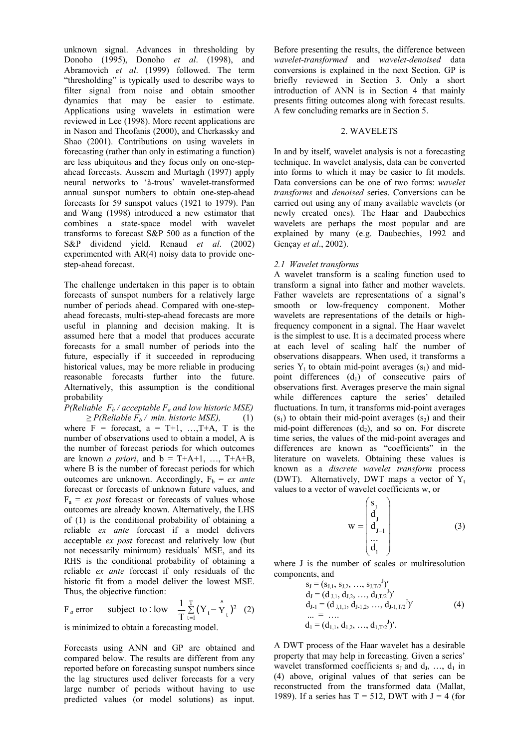unknown signal. Advances in thresholding by Donoho (1995), Donoho *et al*. (1998), and Abramovich *et al*. (1999) followed. The term "thresholding" is typically used to describe ways to filter signal from noise and obtain smoother dynamics that may be easier to estimate. Applications using wavelets in estimation were reviewed in Lee (1998). More recent applications are in Nason and Theofanis (2000), and Cherkassky and Shao (2001). Contributions on using wavelets in forecasting (rather than only in estimating a function) are less ubiquitous and they focus only on one-stepahead forecasts. Aussem and Murtagh (1997) apply neural networks to 'à-trous' wavelet-transformed annual sunspot numbers to obtain one-step-ahead forecasts for 59 sunspot values (1921 to 1979). Pan and Wang (1998) introduced a new estimator that combines a state-space model with wavelet transforms to forecast S&P 500 as a function of the S&P dividend yield. Renaud *et al*. (2002) experimented with AR(4) noisy data to provide onestep-ahead forecast.

The challenge undertaken in this paper is to obtain forecasts of sunspot numbers for a relatively large number of periods ahead. Compared with one-stepahead forecasts, multi-step-ahead forecasts are more useful in planning and decision making. It is assumed here that a model that produces accurate forecasts for a small number of periods into the future, especially if it succeeded in reproducing historical values, may be more reliable in producing reasonable forecasts further into the future. Alternatively, this assumption is the conditional probability

*P*(*Reliable*  $F_b$ */ acceptable*  $F_a$  *and low historic MSE*)  $\geq P(Reliable F_b / min. historic MSE),$  (1) where  $F =$  forecast,  $a = T+1, \ldots, T+A, T$  is the number of observations used to obtain a model, A is the number of forecast periods for which outcomes are known *a priori*, and  $b = T+A+1$ , ...,  $T+A+B$ , where B is the number of forecast periods for which outcomes are unknown. Accordingly,  $F_b = e x$  ante forecast or forecasts of unknown future values, and  $F_a = ex$  *post* forecast or forecasts of values whose outcomes are already known. Alternatively, the LHS of (1) is the conditional probability of obtaining a reliable *ex ante* forecast if a model delivers acceptable *ex post* forecast and relatively low (but not necessarily minimum) residuals' MSE, and its RHS is the conditional probability of obtaining a reliable *ex ante* forecast if only residuals of the historic fit from a model deliver the lowest MSE. Thus, the objective function:

F *a* error subject to : low  $\frac{1}{T} \sum_{t=1}^{T} (Y_t - \hat{Y}_t)^2$  (2)

is minimized to obtain a forecasting model.

Forecasts using ANN and GP are obtained and compared below. The results are different from any reported before on forecasting sunspot numbers since the lag structures used deliver forecasts for a very large number of periods without having to use predicted values (or model solutions) as input.

Before presenting the results, the difference between *wavelet-transformed* and *wavelet-denoised* data conversions is explained in the next Section. GP is briefly reviewed in Section 3. Only a short introduction of ANN is in Section 4 that mainly presents fitting outcomes along with forecast results. A few concluding remarks are in Section 5.

## 2. WAVELETS

In and by itself, wavelet analysis is not a forecasting technique. In wavelet analysis, data can be converted into forms to which it may be easier to fit models. Data conversions can be one of two forms: *wavelet transforms* and *denoised* series. Conversions can be carried out using any of many available wavelets (or newly created ones). The Haar and Daubechies wavelets are perhaps the most popular and are explained by many (e.g. Daubechies, 1992 and Gençay *et al*., 2002).

# *2.1 Wavelet transforms*

A wavelet transform is a scaling function used to transform a signal into father and mother wavelets. Father wavelets are representations of a signal's smooth or low-frequency component. Mother wavelets are representations of the details or highfrequency component in a signal. The Haar wavelet is the simplest to use. It is a decimated process where at each level of scaling half the number of observations disappears. When used, it transforms a series  $Y_t$  to obtain mid-point averages  $(s_1)$  and midpoint differences  $(d_1)$  of consecutive pairs of observations first. Averages preserve the main signal while differences capture the series' detailed fluctuations. In turn, it transforms mid-point averages  $(s<sub>1</sub>)$  to obtain their mid-point averages  $(s<sub>2</sub>)$  and their mid-point differences  $(d_2)$ , and so on. For discrete time series, the values of the mid-point averages and differences are known as "coefficients" in the literature on wavelets. Obtaining these values is known as a *discrete wavelet transform* process (DWT). Alternatively, DWT maps a vector of  $Y_t$ values to a vector of wavelet coefficients w, or

$$
\mathbf{w} = \begin{pmatrix} \mathbf{s}_{\mathbf{J}} \\ \mathbf{d}_{\mathbf{J}} \\ \mathbf{d}_{\mathbf{J} - 1} \\ \vdots \\ \mathbf{d}_{1} \end{pmatrix}
$$
 (3)

where J is the number of scales or multiresolution components, and

$$
s_{J} = (s_{J,1}, s_{J,2}, ..., s_{J,T/2})'
$$
  
\n
$$
d_{J} = (d_{J,1}, d_{J,2}, ..., d_{J,T/2})'
$$
  
\n
$$
d_{J-1} = (d_{J,1,1}, d_{J-1,2}, ..., d_{J-1,T/2})'
$$
  
\n
$$
...
$$
  
\n
$$
d_{1} = (d_{1,1}, d_{1,2}, ..., d_{1,T/2})'
$$
  
\n(4)

A DWT process of the Haar wavelet has a desirable property that may help in forecasting. Given a series' wavelet transformed coefficients  $s_1$  and  $d_1$ , ...,  $d_1$  in (4) above, original values of that series can be reconstructed from the transformed data (Mallat, 1989). If a series has  $T = 512$ , DWT with  $J = 4$  (for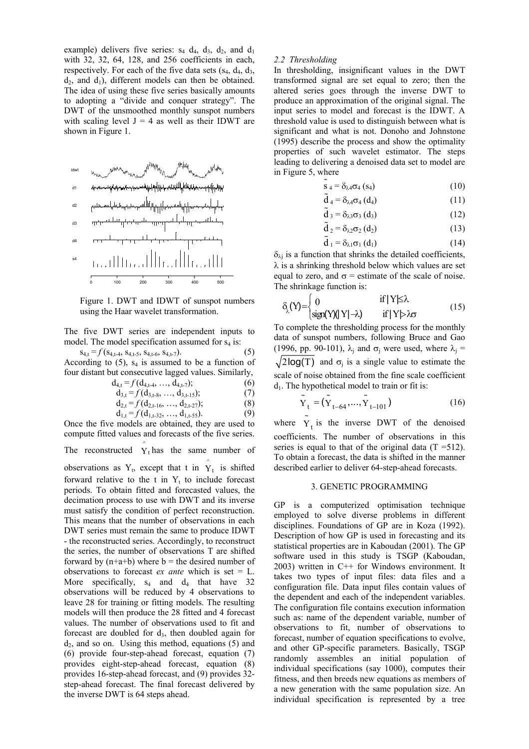example) delivers five series:  $s_4$   $d_4$ ,  $d_3$ ,  $d_2$ , and  $d_1$ with 32, 32, 64, 128, and 256 coefficients in each, respectively. For each of the five data sets  $(s_4, d_4, d_3, d_4, d_5)$  $d_2$ , and  $d_1$ ), different models can then be obtained. The idea of using these five series basically amounts to adopting a "divide and conquer strategy". The DWT of the unsmoothed monthly sunspot numbers with scaling level  $J = 4$  as well as their IDWT are shown in Figure 1.



Figure 1. DWT and IDWT of sunspot numbers using the Haar wavelet transformation.

The five DWT series are independent inputs to model. The model specification assumed for  $s_4$  is:

 $s_{4,t} = f(s_{4,t-4}, s_{4,t-5}, s_{4,t-6}, s_{4,t-7}).$  (5) According to  $(5)$ ,  $s_4$  is assumed to be a function of four distant but consecutive lagged values. Similarly,

$$
d_{4,t} = f(d_{4,t-4}, \ldots, d_{4,t-7}); \qquad (6)
$$

$$
d_{3,t} = f(d_{3,t-8}, ..., d_{3,t-15}); \tag{7}
$$

$$
d_{2,t} = f(d_{2,t-16}, ..., d_{2,t-27}); \tag{8}
$$

$$
d_{1,t} = f(d_{1,t-32}, ..., d_{1,t-55}). \tag{9}
$$

Once the five models are obtained, they are used to compute fitted values and forecasts of the five series.

The reconstructed  $\hat{Y}_t$  has the same number of

observations as  $Y_t$ , except that t in  $\hat{Y}_t$  is shifted forward relative to the t in  $Y_t$  to include forecast periods. To obtain fitted and forecasted values, the decimation process to use with DWT and its inverse must satisfy the condition of perfect reconstruction. This means that the number of observations in each DWT series must remain the same to produce IDWT - the reconstructed series. Accordingly, to reconstruct the series, the number of observations T are shifted forward by  $(n+a+b)$  where  $b =$  the desired number of observations to forecast *ex ante* which is set = L. More specifically,  $s_4$  and  $d_4$  that have 32 observations will be reduced by 4 observations to leave 28 for training or fitting models. The resulting models will then produce the 28 fitted and 4 forecast values. The number of observations used to fit and forecast are doubled for  $d_3$ , then doubled again for  $d_2$ , and so on. Using this method, equations (5) and (6) provide four-step-ahead forecast, equation (7) provides eight-step-ahead forecast, equation (8) provides 16-step-ahead forecast, and (9) provides 32 step-ahead forecast. The final forecast delivered by the inverse DWT is 64 steps ahead.

### *2.2 Thresholding*

In thresholding, insignificant values in the DWT transformed signal are set equal to zero; then the altered series goes through the inverse DWT to produce an approximation of the original signal. The input series to model and forecast is the IDWT. A threshold value is used to distinguish between what is significant and what is not. Donoho and Johnstone (1995) describe the process and show the optimality properties of such wavelet estimator. The steps leading to delivering a denoised data set to model are in Figure 5, where

$$
\tilde{\mathbf{s}}_4 = \delta_{\lambda 4} \sigma_4 \left( \mathbf{s}_4 \right) \tag{10}
$$

$$
\tilde{d}_4 = \delta_{\lambda 4} \sigma_4 (d_4)
$$
 (11)

$$
\tilde{d}_3 = \delta_{\lambda 3} \sigma_3 (d_3) \tag{12}
$$

$$
\tilde{d}_2 = \delta_{\lambda 2} \sigma_2 (d_2)
$$
 (13)

$$
\tilde{d}_1 = \delta_{\lambda 1} \sigma_1 (d_1) \tag{14}
$$

 $\delta_{\lambda i}$  is a function that shrinks the detailed coefficients,  $\lambda$  is a shrinking threshold below which values are set equal to zero, and  $\sigma$  = estimate of the scale of noise. The shrinkage function is:

$$
\delta_{\lambda}(Y) = \begin{cases}\n0 & \text{if } |Y| \leq \lambda \\
\text{sign}(Y)(|Y|-\lambda) & \text{if } |Y| > \lambda \sigma\n\end{cases}
$$
\n(15)

To complete the thresholding process for the monthly data of sunspot numbers, following Bruce and Gao (1996, pp. 90-101),  $\lambda_i$  and  $\sigma_i$  were used, where  $\lambda_i$  =  $\sqrt{2 \log(T)}$  and  $\sigma_i$  is a single value to estimate the scale of noise obtained from the fine scale coefficient  $d_1$ . The hypothetical model to train or fit is:

$$
\tilde{Y}_t = (\tilde{Y}_{t-64}, ..., \tilde{Y}_{t-101})
$$
\n(16)

where  $\tilde{Y}_t$  is the inverse DWT of the denoised coefficients. The number of observations in this series is equal to that of the original data  $(T = 512)$ . To obtain a forecast, the data is shifted in the manner described earlier to deliver 64-step-ahead forecasts.

### 3. GENETIC PROGRAMMING

GP is a computerized optimisation technique employed to solve diverse problems in different disciplines. Foundations of GP are in Koza (1992). Description of how GP is used in forecasting and its statistical properties are in Kaboudan (2001). The GP software used in this study is TSGP (Kaboudan, 2003) written in C++ for Windows environment. It takes two types of input files: data files and a configuration file. Data input files contain values of the dependent and each of the independent variables. The configuration file contains execution information such as: name of the dependent variable, number of observations to fit, number of observations to forecast, number of equation specifications to evolve, and other GP-specific parameters. Basically, TSGP randomly assembles an initial population of individual specifications (say 1000), computes their fitness, and then breeds new equations as members of a new generation with the same population size. An individual specification is represented by a tree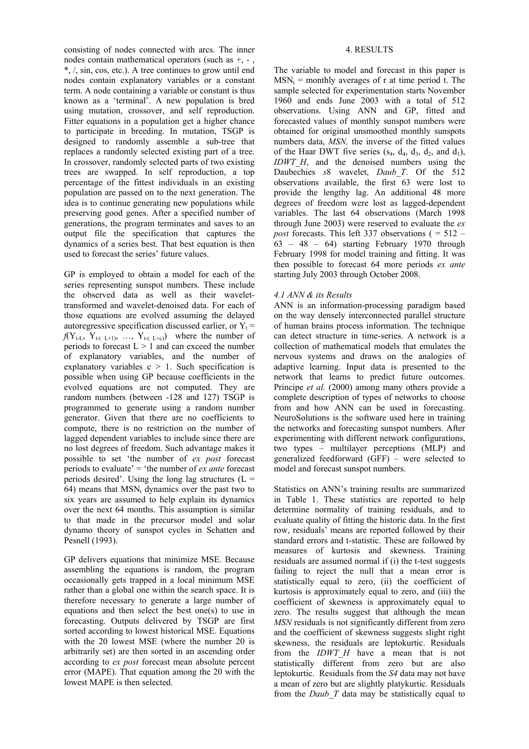consisting of nodes connected with arcs. The inner nodes contain mathematical operators (such as  $+$ ,  $-$ , \*, /, sin, cos, etc.). A tree continues to grow until end nodes contain explanatory variables or a constant term. A node containing a variable or constant is thus known as a 'terminal'. A new population is bred using mutation, crossover, and self reproduction. Fitter equations in a population get a higher chance to participate in breeding. In mutation, TSGP is designed to randomly assemble a sub-tree that replaces a randomly selected existing part of a tree. In crossover, randomly selected parts of two existing trees are swapped. In self reproduction, a top percentage of the fittest individuals in an existing population are passed on to the next generation. The idea is to continue generating new populations while preserving good genes. After a specified number of generations, the program terminates and saves to an output file the specification that captures the dynamics of a series best. That best equation is then used to forecast the series' future values.

GP is employed to obtain a model for each of the series representing sunspot numbers. These include the observed data as well as their wavelettransformed and wavelet-denoised data. For each of those equations are evolved assuming the delayed autoregressive specification discussed earlier, or  $Y_t$  =  $f(Y_{t-L}, Y_{t-L+1}, \ldots, Y_{t-L+1})$  where the number of periods to forecast  $L > 1$  and can exceed the number of explanatory variables, and the number of explanatory variables  $c > 1$ . Such specification is possible when using GP because coefficients in the evolved equations are not computed. They are random numbers (between -128 and 127) TSGP is programmed to generate using a random number generator. Given that there are no coefficients to compute, there is no restriction on the number of lagged dependent variables to include since there are no lost degrees of freedom. Such advantage makes it possible to set 'the number of *ex post* forecast periods to evaluate' = 'the number of  $\overrightarrow{ex}$  ante forecast periods desired'. Using the long lag structures  $(L =$ 64) means that  $MSN_t$  dynamics over the past two to six years are assumed to help explain its dynamics over the next 64 months. This assumption is similar to that made in the precursor model and solar dynamo theory of sunspot cycles in Schatten and Pesnell (1993).

GP delivers equations that minimize MSE. Because assembling the equations is random, the program occasionally gets trapped in a local minimum MSE rather than a global one within the search space. It is therefore necessary to generate a large number of equations and then select the best one(s) to use in forecasting. Outputs delivered by TSGP are first sorted according to lowest historical MSE. Equations with the 20 lowest MSE (where the number 20 is arbitrarily set) are then sorted in an ascending order according to *ex post* forecast mean absolute percent error (MAPE). That equation among the 20 with the lowest MAPE is then selected.

## 4. RESULTS

The variable to model and forecast in this paper is  $MSN_t$  = monthly averages of r at time period t. The sample selected for experimentation starts November 1960 and ends June 2003 with a total of 512 observations. Using ANN and GP, fitted and forecasted values of monthly sunspot numbers were obtained for original unsmoothed monthly sunspots numbers data, *MSN,* the inverse of the fitted values of the Haar DWT five series  $(s_4, d_4, d_3, d_2,$  and  $d_1$ ), *IDWT\_H*, and the denoised numbers using the Daubechies *s*8 wavelet, *Daub\_T*. Of the 512 observations available, the first 63 were lost to provide the lengthy lag. An additional 48 more degrees of freedom were lost as lagged-dependent variables. The last 64 observations (March 1998 through June 2003) were reserved to evaluate the *ex post* forecasts. This left 337 observations ( = 512 –  $63 - 48 - 64$ ) starting February 1970 through February 1998 for model training and fitting. It was then possible to forecast 64 more periods *ex ante* starting July 2003 through October 2008.

# *4.1 ANN & its Results*

ANN is an information-processing paradigm based on the way densely interconnected parallel structure of human brains process information. The technique can detect structure in time-series. A network is a collection of mathematical models that emulates the nervous systems and draws on the analogies of adaptive learning. Input data is presented to the network that learns to predict future outcomes. Principe *et al.* (2000) among many others provide a complete description of types of networks to choose from and how ANN can be used in forecasting. NeuroSolutions is the software used here in training the networks and forecasting sunspot numbers. After experimenting with different network configurations, two types – multilayer perceptions (MLP) and generalized feedforward (GFF) – were selected to model and forecast sunspot numbers.

Statistics on ANN's training results are summarized in Table 1. These statistics are reported to help determine normality of training residuals, and to evaluate quality of fitting the historic data. In the first row, residuals' means are reported followed by their standard errors and t-statistic. These are followed by measures of kurtosis and skewness. Training residuals are assumed normal if (i) the t-test suggests failing to reject the null that a mean error is statistically equal to zero, (ii) the coefficient of kurtosis is approximately equal to zero, and (iii) the coefficient of skewness is approximately equal to zero. The results suggest that although the mean *MSN* residuals is not significantly different from zero and the coefficient of skewness suggests slight right skewness, the residuals are leptokurtic. Residuals from the *IDWT H* have a mean that is not statistically different from zero but are also leptokurtic. Residuals from the *S4* data may not have a mean of zero but are slightly platykurtic. Residuals from the *Daub\_T* data may be statistically equal to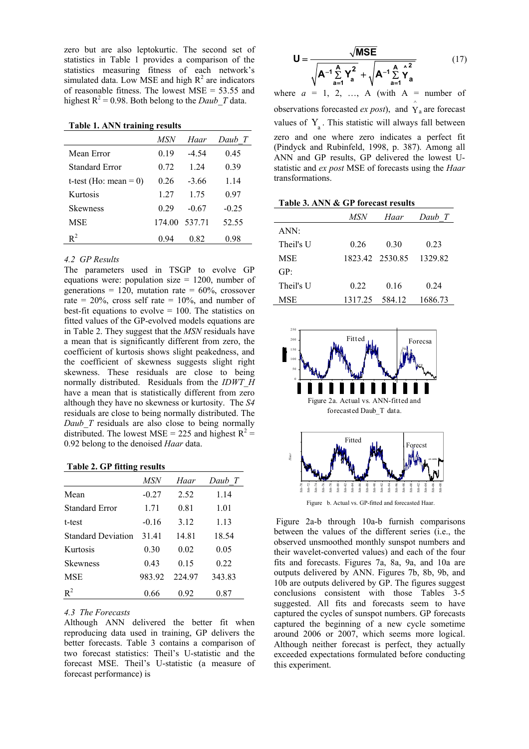zero but are also leptokurtic. The second set of statistics in Table 1 provides a comparison of the statistics measuring fitness of each network's simulated data. Low MSE and high  $R^2$  are indicators of reasonable fitness. The lowest MSE = 53.55 and highest  $R^2 = 0.98$ . Both belong to the *Daub T* data.

## **Table 1. ANN training results**

|                          | MSN   | Haar          | Daub T  |
|--------------------------|-------|---------------|---------|
| Mean Error               | 0.19  | -4.54         | 0.45    |
| Standard Error           | 0.72  | 1 24          | 0.39    |
| t-test (Ho: mean $= 0$ ) | 0.26  | $-3.66$       | 1.14    |
| Kurtosis                 | 1 27  | 1.75          | 0.97    |
| <b>Skewness</b>          | 0.29  | $-0.67$       | $-0.25$ |
| <b>MSE</b>               |       | 174.00 537.71 | 52.55   |
| $R^2$                    | () 94 | 0.82          | 0.98    |

### *4.2 GP Results*

The parameters used in TSGP to evolve GP equations were: population size  $= 1200$ , number of generations = 120, mutation rate =  $60\%$ , crossover rate =  $20\%$ , cross self rate =  $10\%$ , and number of best-fit equations to evolve  $= 100$ . The statistics on fitted values of the GP-evolved models equations are in Table 2. They suggest that the *MSN* residuals have a mean that is significantly different from zero, the coefficient of kurtosis shows slight peakedness, and the coefficient of skewness suggests slight right skewness. These residuals are close to being normally distributed. Residuals from the *IDWT\_H* have a mean that is statistically different from zero although they have no skewness or kurtosity. The *S4* residuals are close to being normally distributed. The *Daub T* residuals are also close to being normally distributed. The lowest MSE = 225 and highest  $R^2$  = 0.92 belong to the denoised *Haar* data.

### **Table 2. GP fitting results**

|                           | MSN     | Haar   | Daub T |
|---------------------------|---------|--------|--------|
| Mean                      | $-0.27$ | 2.52   | 1.14   |
| <b>Standard Error</b>     | 1.71    | 0.81   | 1.01   |
| t-test                    | $-0.16$ | 3.12   | 1.13   |
| <b>Standard Deviation</b> | 3141    | 14.81  | 18.54  |
| Kurtosis                  | 0.30    | 0.02   | 0.05   |
| <b>Skewness</b>           | 0.43    | 0.15   | 0.22   |
| <b>MSE</b>                | 983.92  | 224 97 | 343.83 |
| $R^2$                     | 0.66    | 0.92   | 0.87   |

#### *4.3 The Forecasts*

Although ANN delivered the better fit when reproducing data used in training, GP delivers the better forecasts. Table 3 contains a comparison of two forecast statistics: Theil's U-statistic and the forecast MSE. Theil's U-statistic (a measure of forecast performance) is

$$
\mathbf{U} = \frac{\sqrt{\mathbf{MSE}}}{\sqrt{\mathbf{A}^{-1}\sum_{a=1}^{A} Y_a^2} + \sqrt{\mathbf{A}^{-1}\sum_{a=1}^{A} Y_a^2}}
$$
(17)

where  $a = 1, 2, \ldots, A$  (with  $A =$  number of observations forecasted *ex post*), and  $\hat{Y}_a$  are forecast values of  $Y$ . This statistic will always fall between zero and one where zero indicates a perfect fit (Pindyck and Rubinfeld, 1998, p. 387). Among all ANN and GP results, GP delivered the lowest Ustatistic and *ex post* MSE of forecasts using the *Haar* transformations.

#### **Table 3. ANN & GP forecast results**

|            | <i>MSN</i>     | Haar            | Daub T  |
|------------|----------------|-----------------|---------|
| ANN:       |                |                 |         |
| Theil's U  | 0.26           | 0.30            | 0.23    |
| <b>MSE</b> |                | 1823.42 2530.85 | 1329.82 |
| GP:        |                |                 |         |
| Theil's U  | 0.22           | 0.16            | 0.24    |
| <b>MSE</b> | 1317.25 584.12 |                 | 1686.73 |



Figure b. Actual vs. GP-fitted and forecasted Haar.

 Figure 2a-b through 10a-b furnish comparisons between the values of the different series (i.e., the observed unsmoothed monthly sunspot numbers and their wavelet-converted values) and each of the four fits and forecasts. Figures 7a, 8a, 9a, and 10a are outputs delivered by ANN. Figures 7b, 8b, 9b, and 10b are outputs delivered by GP. The figures suggest conclusions consistent with those Tables 3-5 suggested. All fits and forecasts seem to have captured the cycles of sunspot numbers. GP forecasts captured the beginning of a new cycle sometime around 2006 or 2007, which seems more logical. Although neither forecast is perfect, they actually exceeded expectations formulated before conducting this experiment.